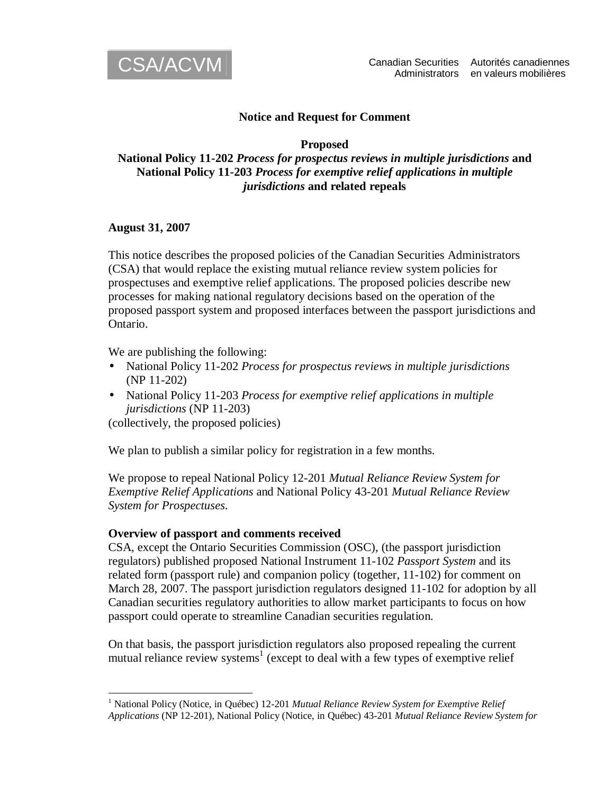

# **Notice and Request for Comment**

#### **Proposed**

# **National Policy 11-202** *Process for prospectus reviews in multiple jurisdictions* **and National Policy 11-203** *Process for exemptive relief applications in multiple jurisdictions* **and related repeals**

#### **August 31, 2007**

This notice describes the proposed policies of the Canadian Securities Administrators (CSA) that would replace the existing mutual reliance review system policies for prospectuses and exemptive relief applications. The proposed policies describe new processes for making national regulatory decisions based on the operation of the proposed passport system and proposed interfaces between the passport jurisdictions and Ontario.

We are publishing the following:

- National Policy 11-202 *Process for prospectus reviews in multiple jurisdictions* (NP 11-202)
- National Policy 11-203 *Process for exemptive relief applications in multiple jurisdictions* (NP 11-203)

(collectively, the proposed policies)

We plan to publish a similar policy for registration in a few months.

We propose to repeal National Policy 12-201 *Mutual Reliance Review System for Exemptive Relief Applications* and National Policy 43-201 *Mutual Reliance Review System for Prospectuses*.

#### **Overview of passport and comments received**

CSA, except the Ontario Securities Commission (OSC), (the passport jurisdiction regulators) published proposed National Instrument 11-102 *Passport System* and its related form (passport rule) and companion policy (together, 11-102) for comment on March 28, 2007. The passport jurisdiction regulators designed 11-102 for adoption by all Canadian securities regulatory authorities to allow market participants to focus on how passport could operate to streamline Canadian securities regulation.

On that basis, the passport jurisdiction regulators also proposed repealing the current mutual reliance review systems<sup>1</sup> (except to deal with a few types of exemptive relief

 1 National Policy (Notice, in Québec) 12-201 *Mutual Reliance Review System for Exemptive Relief Applications* (NP 12-201), National Policy (Notice, in Québec) 43-201 *Mutual Reliance Review System for*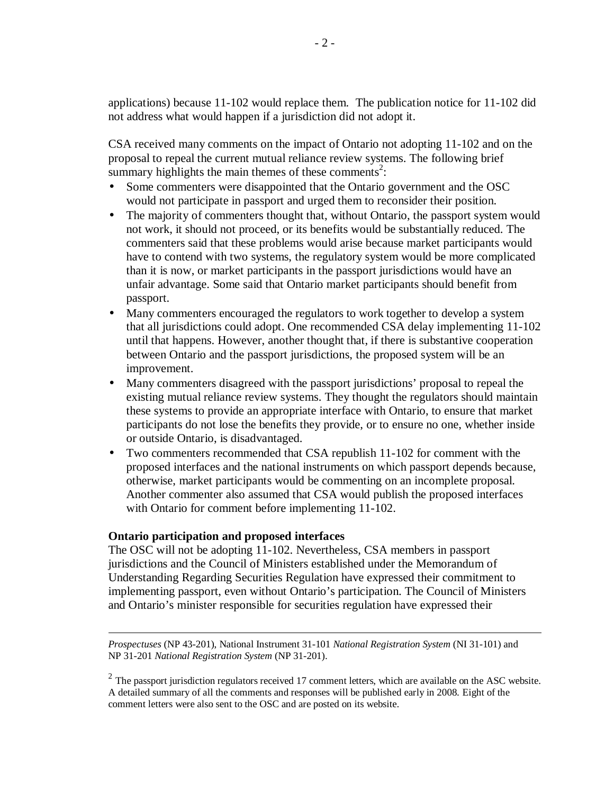applications) because 11-102 would replace them. The publication notice for 11-102 did not address what would happen if a jurisdiction did not adopt it.

CSA received many comments on the impact of Ontario not adopting 11-102 and on the proposal to repeal the current mutual reliance review systems. The following brief summary highlights the main themes of these comments<sup>2</sup>:

- Some commenters were disappointed that the Ontario government and the OSC would not participate in passport and urged them to reconsider their position.
- The majority of commenters thought that, without Ontario, the passport system would not work, it should not proceed, or its benefits would be substantially reduced. The commenters said that these problems would arise because market participants would have to contend with two systems, the regulatory system would be more complicated than it is now, or market participants in the passport jurisdictions would have an unfair advantage. Some said that Ontario market participants should benefit from passport.
- Many commenters encouraged the regulators to work together to develop a system that all jurisdictions could adopt. One recommended CSA delay implementing 11-102 until that happens. However, another thought that, if there is substantive cooperation between Ontario and the passport jurisdictions, the proposed system will be an improvement.
- Many commenters disagreed with the passport jurisdictions' proposal to repeal the existing mutual reliance review systems. They thought the regulators should maintain these systems to provide an appropriate interface with Ontario, to ensure that market participants do not lose the benefits they provide, or to ensure no one, whether inside or outside Ontario, is disadvantaged.
- Two commenters recommended that CSA republish 11-102 for comment with the proposed interfaces and the national instruments on which passport depends because, otherwise, market participants would be commenting on an incomplete proposal. Another commenter also assumed that CSA would publish the proposed interfaces with Ontario for comment before implementing 11-102.

# **Ontario participation and proposed interfaces**

The OSC will not be adopting 11-102. Nevertheless, CSA members in passport jurisdictions and the Council of Ministers established under the Memorandum of Understanding Regarding Securities Regulation have expressed their commitment to implementing passport, even without Ontario's participation. The Council of Ministers and Ontario's minister responsible for securities regulation have expressed their

 $\overline{a}$ *Prospectuses* (NP 43-201), National Instrument 31-101 *National Registration System* (NI 31-101) and NP 31-201 *National Registration System* (NP 31-201).

 $2$  The passport jurisdiction regulators received 17 comment letters, which are available on the ASC website. A detailed summary of all the comments and responses will be published early in 2008. Eight of the comment letters were also sent to the OSC and are posted on its website.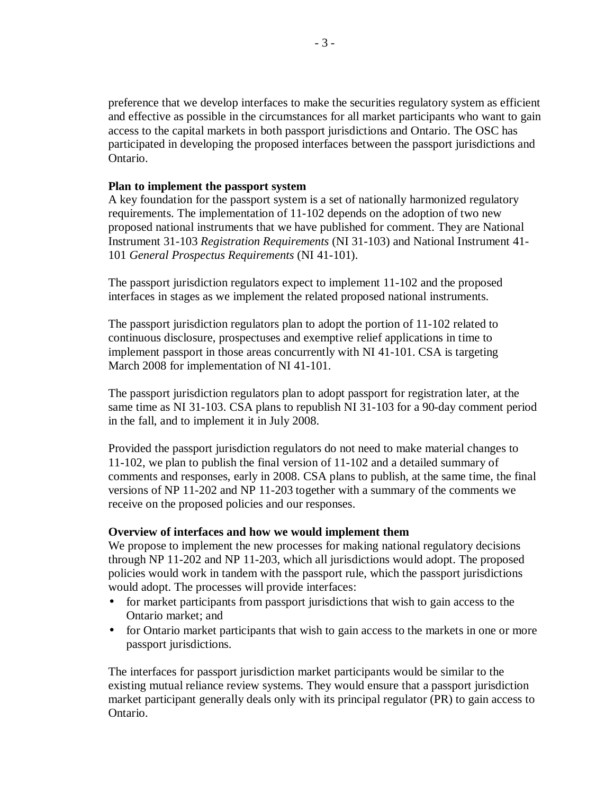preference that we develop interfaces to make the securities regulatory system as efficient and effective as possible in the circumstances for all market participants who want to gain access to the capital markets in both passport jurisdictions and Ontario. The OSC has participated in developing the proposed interfaces between the passport jurisdictions and Ontario.

#### **Plan to implement the passport system**

A key foundation for the passport system is a set of nationally harmonized regulatory requirements. The implementation of 11-102 depends on the adoption of two new proposed national instruments that we have published for comment. They are National Instrument 31-103 *Registration Requirements* (NI 31-103) and National Instrument 41- 101 *General Prospectus Requirements* (NI 41-101).

The passport jurisdiction regulators expect to implement 11-102 and the proposed interfaces in stages as we implement the related proposed national instruments.

The passport jurisdiction regulators plan to adopt the portion of 11-102 related to continuous disclosure, prospectuses and exemptive relief applications in time to implement passport in those areas concurrently with NI 41-101. CSA is targeting March 2008 for implementation of NI 41-101.

The passport jurisdiction regulators plan to adopt passport for registration later, at the same time as NI 31-103. CSA plans to republish NI 31-103 for a 90-day comment period in the fall, and to implement it in July 2008.

Provided the passport jurisdiction regulators do not need to make material changes to 11-102, we plan to publish the final version of 11-102 and a detailed summary of comments and responses, early in 2008. CSA plans to publish, at the same time, the final versions of NP 11-202 and NP 11-203 together with a summary of the comments we receive on the proposed policies and our responses.

# **Overview of interfaces and how we would implement them**

We propose to implement the new processes for making national regulatory decisions through NP 11-202 and NP 11-203, which all jurisdictions would adopt. The proposed policies would work in tandem with the passport rule, which the passport jurisdictions would adopt. The processes will provide interfaces:

- for market participants from passport jurisdictions that wish to gain access to the Ontario market; and
- for Ontario market participants that wish to gain access to the markets in one or more passport jurisdictions.

The interfaces for passport jurisdiction market participants would be similar to the existing mutual reliance review systems. They would ensure that a passport jurisdiction market participant generally deals only with its principal regulator (PR) to gain access to Ontario.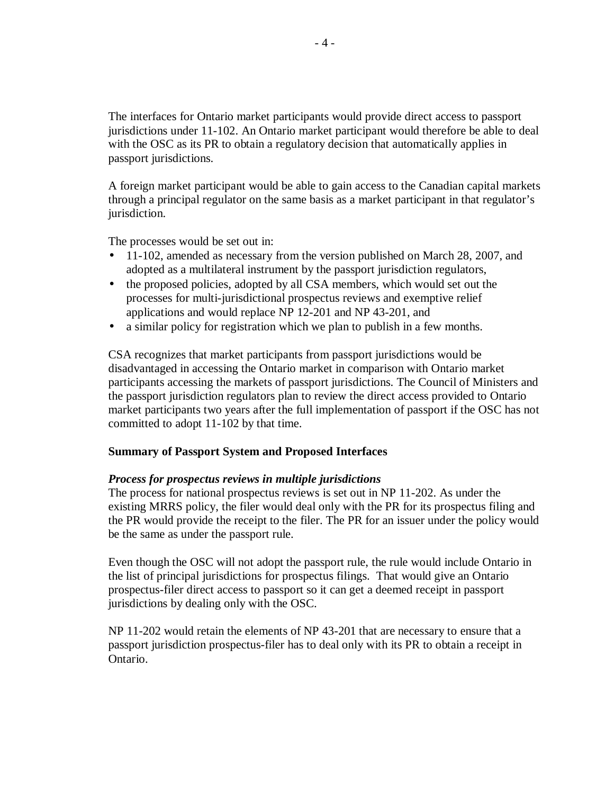The interfaces for Ontario market participants would provide direct access to passport jurisdictions under 11-102. An Ontario market participant would therefore be able to deal with the OSC as its PR to obtain a regulatory decision that automatically applies in passport jurisdictions.

A foreign market participant would be able to gain access to the Canadian capital markets through a principal regulator on the same basis as a market participant in that regulator's jurisdiction.

The processes would be set out in:

- 11-102, amended as necessary from the version published on March 28, 2007, and adopted as a multilateral instrument by the passport jurisdiction regulators,
- the proposed policies, adopted by all CSA members, which would set out the processes for multi-jurisdictional prospectus reviews and exemptive relief applications and would replace NP 12-201 and NP 43-201, and
- a similar policy for registration which we plan to publish in a few months.

CSA recognizes that market participants from passport jurisdictions would be disadvantaged in accessing the Ontario market in comparison with Ontario market participants accessing the markets of passport jurisdictions. The Council of Ministers and the passport jurisdiction regulators plan to review the direct access provided to Ontario market participants two years after the full implementation of passport if the OSC has not committed to adopt 11-102 by that time.

# **Summary of Passport System and Proposed Interfaces**

# *Process for prospectus reviews in multiple jurisdictions*

The process for national prospectus reviews is set out in NP 11-202. As under the existing MRRS policy, the filer would deal only with the PR for its prospectus filing and the PR would provide the receipt to the filer. The PR for an issuer under the policy would be the same as under the passport rule.

Even though the OSC will not adopt the passport rule, the rule would include Ontario in the list of principal jurisdictions for prospectus filings. That would give an Ontario prospectus-filer direct access to passport so it can get a deemed receipt in passport jurisdictions by dealing only with the OSC.

NP 11-202 would retain the elements of NP 43-201 that are necessary to ensure that a passport jurisdiction prospectus-filer has to deal only with its PR to obtain a receipt in Ontario.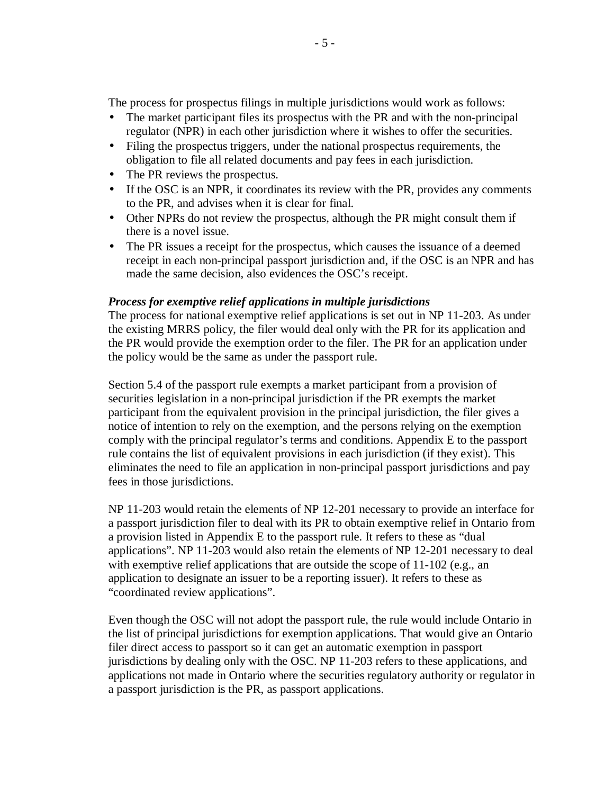The process for prospectus filings in multiple jurisdictions would work as follows:

- The market participant files its prospectus with the PR and with the non-principal regulator (NPR) in each other jurisdiction where it wishes to offer the securities.
- Filing the prospectus triggers, under the national prospectus requirements, the obligation to file all related documents and pay fees in each jurisdiction.
- The PR reviews the prospectus.
- If the OSC is an NPR, it coordinates its review with the PR, provides any comments to the PR, and advises when it is clear for final.
- Other NPRs do not review the prospectus, although the PR might consult them if there is a novel issue.
- The PR issues a receipt for the prospectus, which causes the issuance of a deemed receipt in each non-principal passport jurisdiction and, if the OSC is an NPR and has made the same decision, also evidences the OSC's receipt.

#### *Process for exemptive relief applications in multiple jurisdictions*

The process for national exemptive relief applications is set out in NP 11-203. As under the existing MRRS policy, the filer would deal only with the PR for its application and the PR would provide the exemption order to the filer. The PR for an application under the policy would be the same as under the passport rule.

Section 5.4 of the passport rule exempts a market participant from a provision of securities legislation in a non-principal jurisdiction if the PR exempts the market participant from the equivalent provision in the principal jurisdiction, the filer gives a notice of intention to rely on the exemption, and the persons relying on the exemption comply with the principal regulator's terms and conditions. Appendix E to the passport rule contains the list of equivalent provisions in each jurisdiction (if they exist). This eliminates the need to file an application in non-principal passport jurisdictions and pay fees in those jurisdictions.

NP 11-203 would retain the elements of NP 12-201 necessary to provide an interface for a passport jurisdiction filer to deal with its PR to obtain exemptive relief in Ontario from a provision listed in Appendix E to the passport rule. It refers to these as "dual applications". NP 11-203 would also retain the elements of NP 12-201 necessary to deal with exemptive relief applications that are outside the scope of 11-102 (e.g., an application to designate an issuer to be a reporting issuer). It refers to these as "coordinated review applications".

Even though the OSC will not adopt the passport rule, the rule would include Ontario in the list of principal jurisdictions for exemption applications. That would give an Ontario filer direct access to passport so it can get an automatic exemption in passport jurisdictions by dealing only with the OSC. NP 11-203 refers to these applications, and applications not made in Ontario where the securities regulatory authority or regulator in a passport jurisdiction is the PR, as passport applications.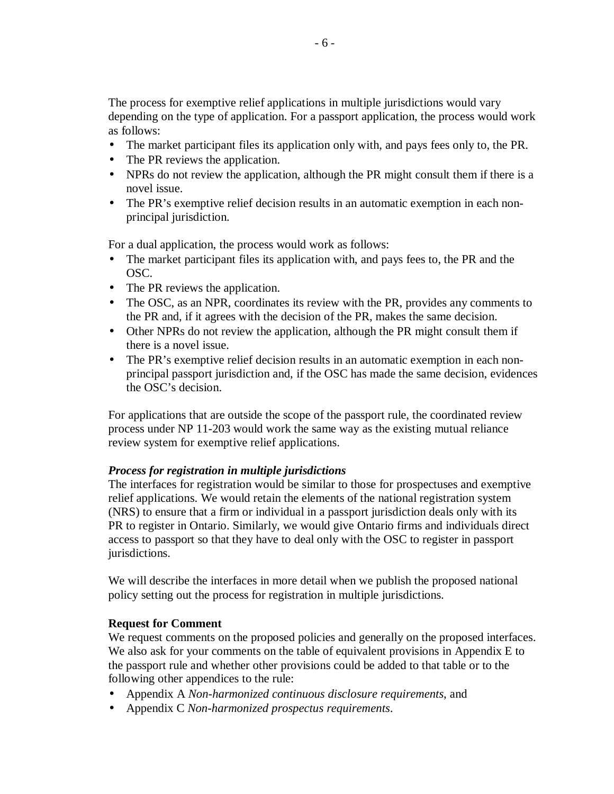The process for exemptive relief applications in multiple jurisdictions would vary depending on the type of application. For a passport application, the process would work as follows:

- The market participant files its application only with, and pays fees only to, the PR.
- The PR reviews the application.
- NPRs do not review the application, although the PR might consult them if there is a novel issue.
- The PR's exemptive relief decision results in an automatic exemption in each nonprincipal jurisdiction.

For a dual application, the process would work as follows:

- The market participant files its application with, and pays fees to, the PR and the OSC.
- The PR reviews the application.
- The OSC, as an NPR, coordinates its review with the PR, provides any comments to the PR and, if it agrees with the decision of the PR, makes the same decision.
- Other NPRs do not review the application, although the PR might consult them if there is a novel issue.
- The PR's exemptive relief decision results in an automatic exemption in each nonprincipal passport jurisdiction and, if the OSC has made the same decision, evidences the OSC's decision.

For applications that are outside the scope of the passport rule, the coordinated review process under NP 11-203 would work the same way as the existing mutual reliance review system for exemptive relief applications.

# *Process for registration in multiple jurisdictions*

The interfaces for registration would be similar to those for prospectuses and exemptive relief applications. We would retain the elements of the national registration system (NRS) to ensure that a firm or individual in a passport jurisdiction deals only with its PR to register in Ontario. Similarly, we would give Ontario firms and individuals direct access to passport so that they have to deal only with the OSC to register in passport jurisdictions.

We will describe the interfaces in more detail when we publish the proposed national policy setting out the process for registration in multiple jurisdictions.

# **Request for Comment**

We request comments on the proposed policies and generally on the proposed interfaces. We also ask for your comments on the table of equivalent provisions in Appendix E to the passport rule and whether other provisions could be added to that table or to the following other appendices to the rule:

- Appendix A *Non-harmonized continuous disclosure requirements*, and
- Appendix C *Non-harmonized prospectus requirements*.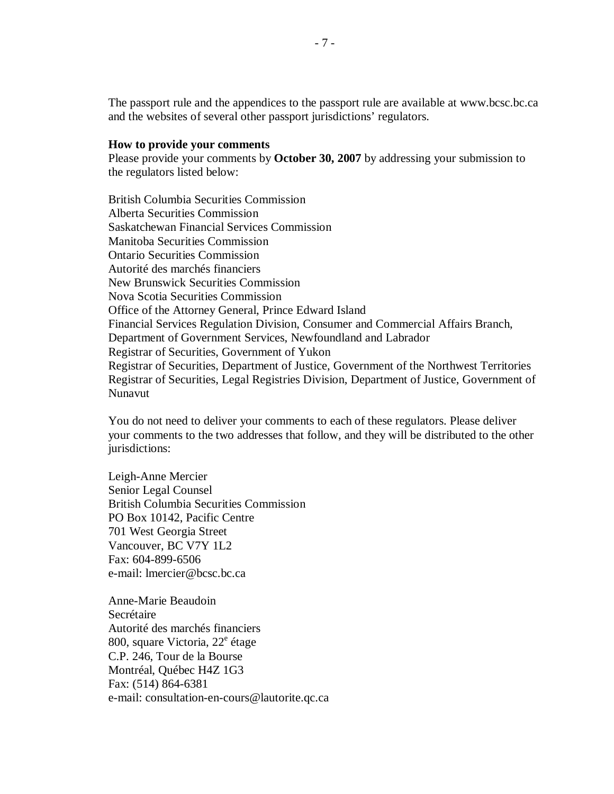The passport rule and the appendices to the passport rule are available at [www.bcsc.bc.ca](http://www.bcsc.bc.ca/)  and the websites of several other passport jurisdictions' regulators.

#### **How to provide your comments**

Please provide your comments by **October 30, 2007** by addressing your submission to the regulators listed below:

British Columbia Securities Commission Alberta Securities Commission Saskatchewan Financial Services Commission Manitoba Securities Commission Ontario Securities Commission Autorité des marchés financiers New Brunswick Securities Commission Nova Scotia Securities Commission Office of the Attorney General, Prince Edward Island Financial Services Regulation Division, Consumer and Commercial Affairs Branch, Department of Government Services, Newfoundland and Labrador Registrar of Securities, Government of Yukon Registrar of Securities, Department of Justice, Government of the Northwest Territories Registrar of Securities, Legal Registries Division, Department of Justice, Government of Nunavut

You do not need to deliver your comments to each of these regulators. Please deliver your comments to the two addresses that follow, and they will be distributed to the other jurisdictions:

Leigh-Anne Mercier Senior Legal Counsel British Columbia Securities Commission PO Box 10142, Pacific Centre 701 West Georgia Street Vancouver, BC V7Y 1L2 Fax: 604-899-6506 e-mail: [lmercier@bcsc.bc.ca](mailto:lmercier@bcsc.bc.ca) 

Anne-Marie Beaudoin Secrétaire Autorité des marchés financiers 800, square Victoria, 22<sup>e</sup> étage C.P. 246, Tour de la Bourse Montréal, Québec H4Z 1G3 Fax: (514) 864-6381 e-mail: consultation-en-cours@lautorite.qc.ca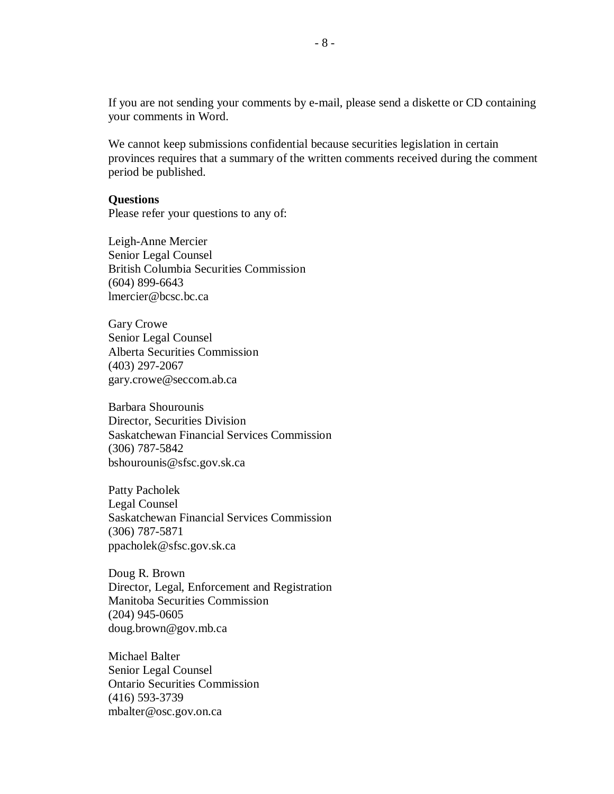If you are not sending your comments by e-mail, please send a diskette or CD containing your comments in Word.

We cannot keep submissions confidential because securities legislation in certain provinces requires that a summary of the written comments received during the comment period be published.

#### **Questions**

Please refer your questions to any of:

Leigh-Anne Mercier Senior Legal Counsel British Columbia Securities Commission (604) 899-6643 lmercier[@bcsc.bc.ca](mailto:ryouck@bcsc.bc.ca) 

Gary Crowe Senior Legal Counsel Alberta Securities Commission (403) 297-2067 gary.crowe@seccom.ab.ca

Barbara Shourounis Director, Securities Division Saskatchewan Financial Services Commission (306) 787-5842 bshourounis@sfsc.gov.sk.ca

Patty Pacholek Legal Counsel Saskatchewan Financial Services Commission (306) 787-5871 ppacholek@sfsc.gov.sk.ca

Doug R. Brown Director, Legal, Enforcement and Registration Manitoba Securities Commission (204) 945-0605 d[oug.brown@gov.mb.ca](mailto:oug.brown@gov.mb.ca)

Michael Balter Senior Legal Counsel Ontario Securities Commission (416) 593-3739 mbalter@osc.gov.on.ca